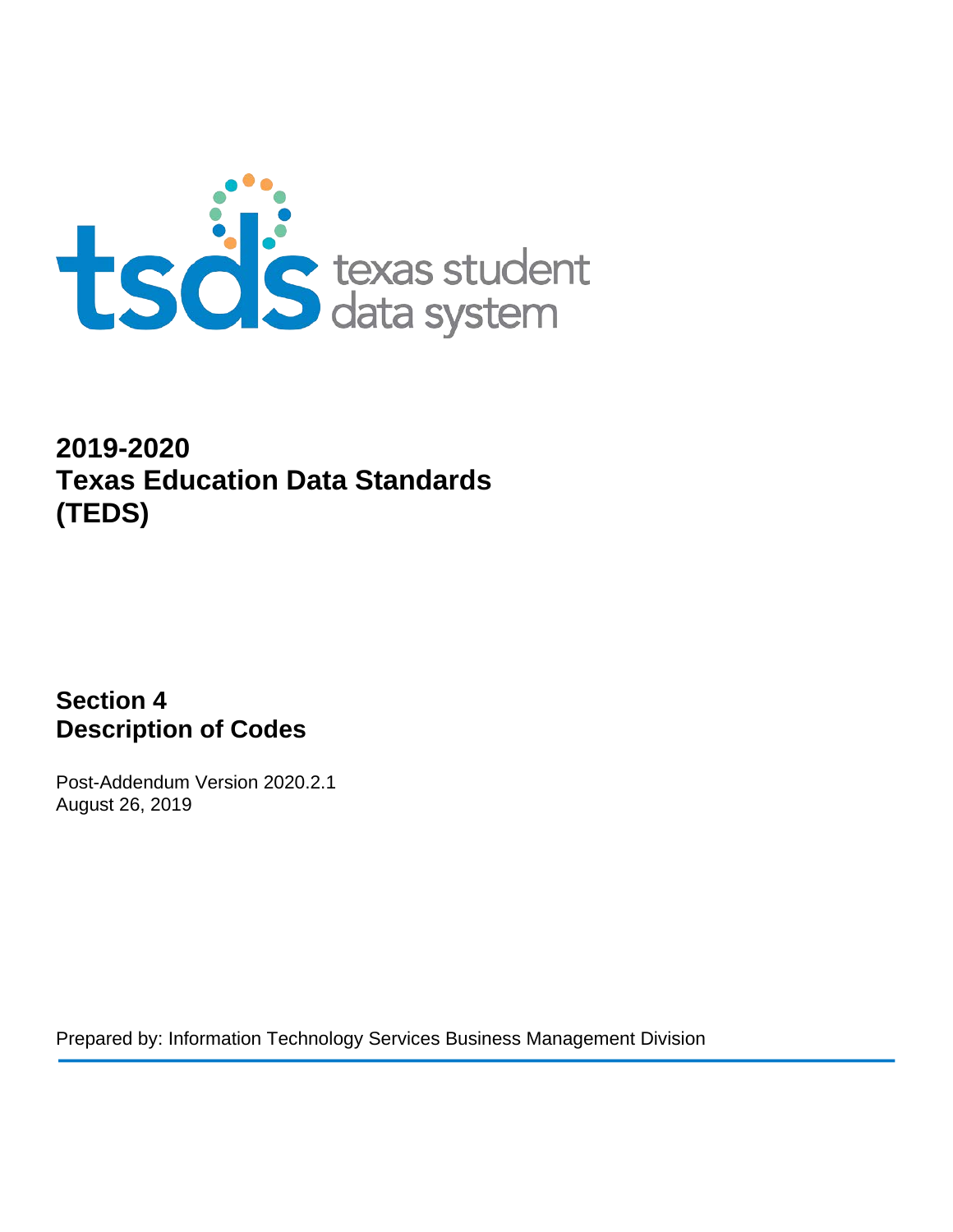

# **2019-2020 Texas Education Data Standards (TEDS)**

**Section 4 Description of Codes**

Post-Addendum Version 2020.2.1 August 26, 2019

Prepared by: Information Technology Services Business Management Division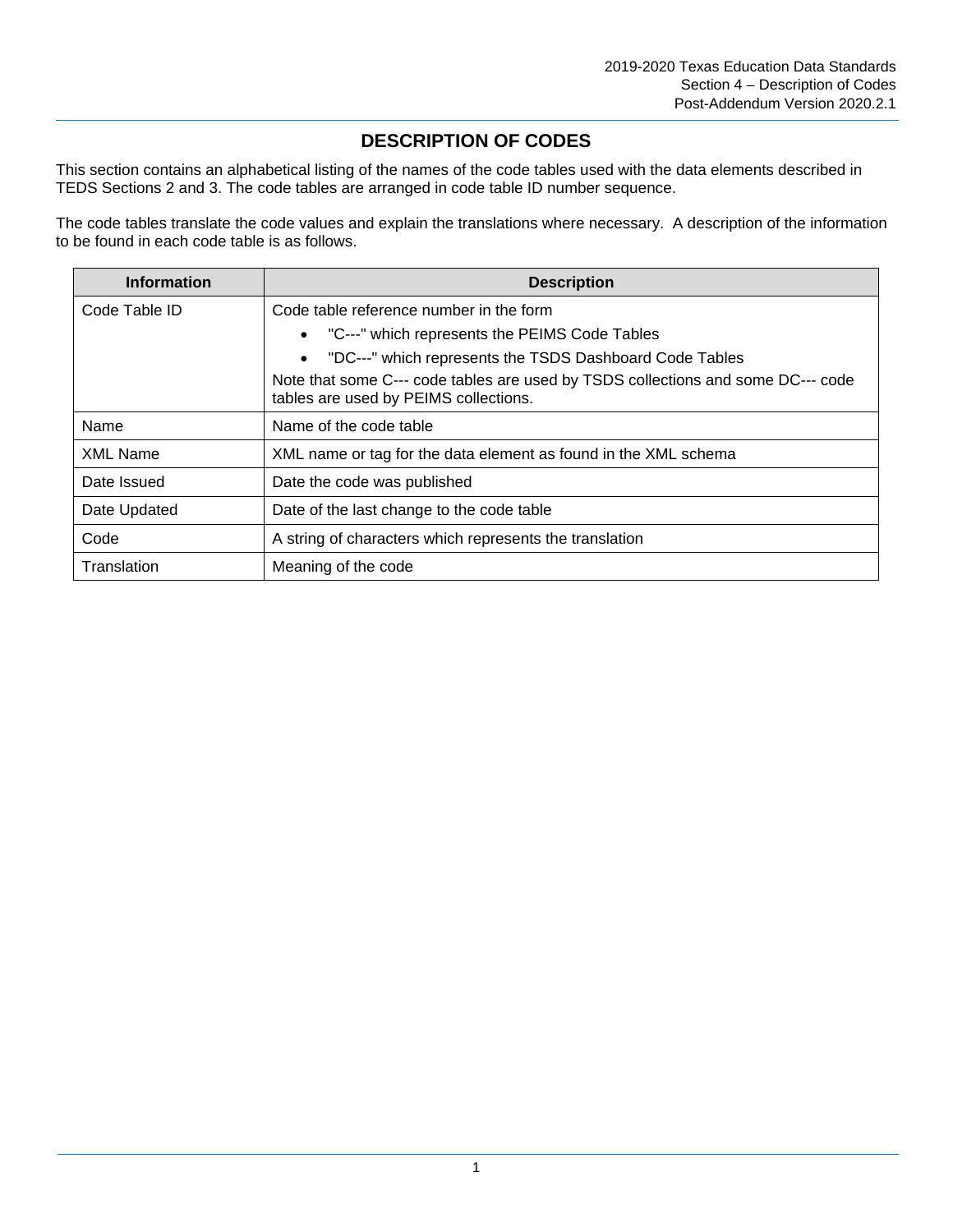# **DESCRIPTION OF CODES**

This section contains an alphabetical listing of the names of the code tables used with the data elements described in TEDS Sections 2 and 3. The code tables are arranged in code table ID number sequence.

The code tables translate the code values and explain the translations where necessary. A description of the information to be found in each code table is as follows.

| <b>Information</b> | <b>Description</b>                                                                                                        |
|--------------------|---------------------------------------------------------------------------------------------------------------------------|
| Code Table ID      | Code table reference number in the form                                                                                   |
|                    | • "C---" which represents the PEIMS Code Tables                                                                           |
|                    | • "DC---" which represents the TSDS Dashboard Code Tables                                                                 |
|                    | Note that some C--- code tables are used by TSDS collections and some DC--- code<br>tables are used by PEIMS collections. |
| Name               | Name of the code table                                                                                                    |
| <b>XML Name</b>    | XML name or tag for the data element as found in the XML schema                                                           |
| Date Issued        | Date the code was published                                                                                               |
| Date Updated       | Date of the last change to the code table                                                                                 |
| Code               | A string of characters which represents the translation                                                                   |
| Translation        | Meaning of the code                                                                                                       |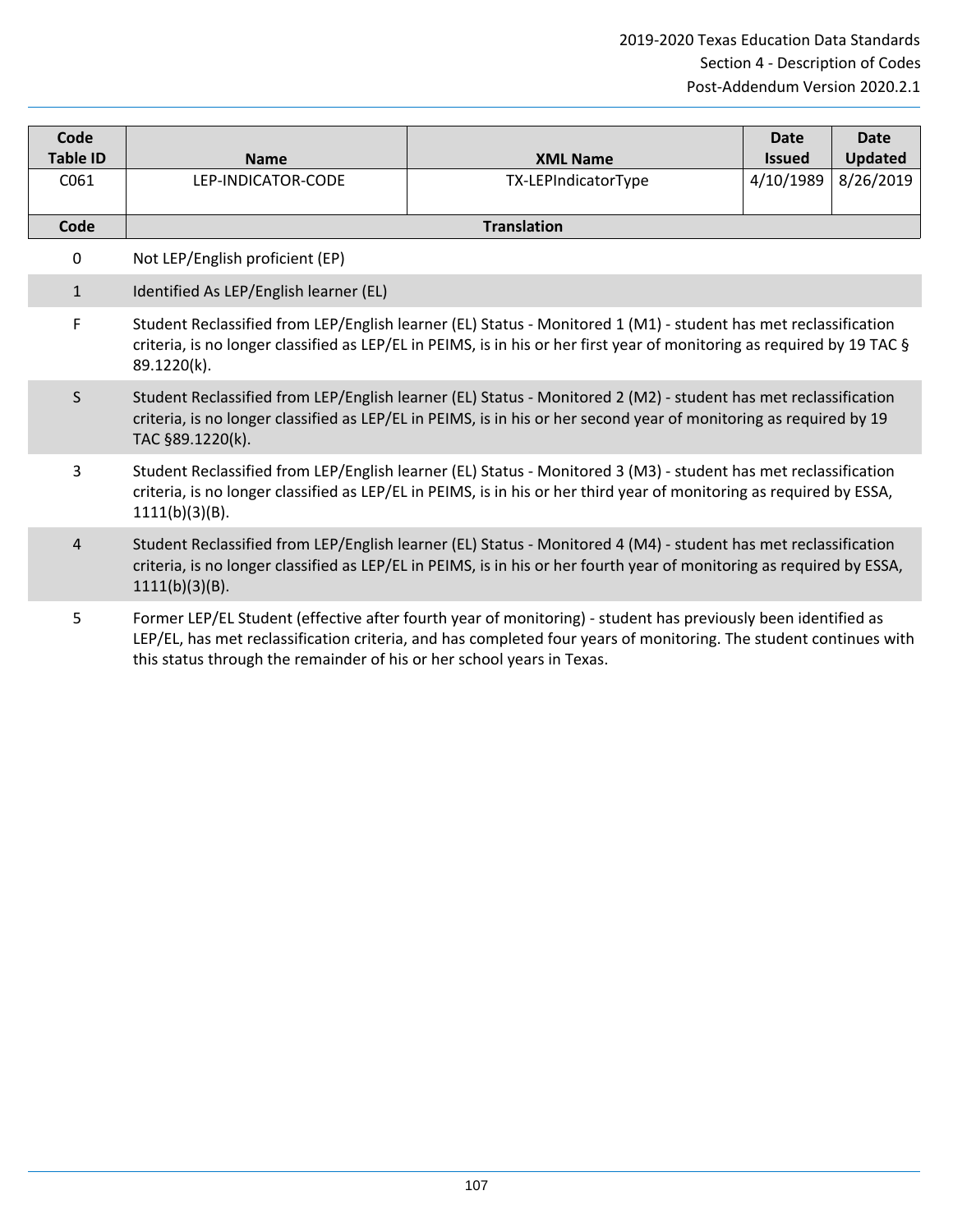| Code<br><b>Table ID</b> | <b>Name</b>                                                            | <b>XML Name</b>                                                                                                                                                                                                                            | <b>Date</b><br><b>Issued</b> | <b>Date</b><br><b>Updated</b> |
|-------------------------|------------------------------------------------------------------------|--------------------------------------------------------------------------------------------------------------------------------------------------------------------------------------------------------------------------------------------|------------------------------|-------------------------------|
| C061                    | LEP-INDICATOR-CODE                                                     | TX-LEPIndicatorType                                                                                                                                                                                                                        | 4/10/1989                    | 8/26/2019                     |
| Code                    |                                                                        | <b>Translation</b>                                                                                                                                                                                                                         |                              |                               |
| 0                       | Not LEP/English proficient (EP)                                        |                                                                                                                                                                                                                                            |                              |                               |
| $\mathbf{1}$            | Identified As LEP/English learner (EL)                                 |                                                                                                                                                                                                                                            |                              |                               |
| F                       | 89.1220(k).                                                            | Student Reclassified from LEP/English learner (EL) Status - Monitored 1 (M1) - student has met reclassification<br>criteria, is no longer classified as LEP/EL in PEIMS, is in his or her first year of monitoring as required by 19 TAC § |                              |                               |
| S                       | TAC §89.1220(k).                                                       | Student Reclassified from LEP/English learner (EL) Status - Monitored 2 (M2) - student has met reclassification<br>criteria, is no longer classified as LEP/EL in PEIMS, is in his or her second year of monitoring as required by 19      |                              |                               |
| 3                       | $1111(b)(3)(B)$ .                                                      | Student Reclassified from LEP/English learner (EL) Status - Monitored 3 (M3) - student has met reclassification<br>criteria, is no longer classified as LEP/EL in PEIMS, is in his or her third year of monitoring as required by ESSA,    |                              |                               |
| 4                       | 1111(b)(3)(B).                                                         | Student Reclassified from LEP/English learner (EL) Status - Monitored 4 (M4) - student has met reclassification<br>criteria, is no longer classified as LEP/EL in PEIMS, is in his or her fourth year of monitoring as required by ESSA,   |                              |                               |
| 5                       | this status through the remainder of his or her school years in Texas. | Former LEP/EL Student (effective after fourth year of monitoring) - student has previously been identified as<br>LEP/EL, has met reclassification criteria, and has completed four years of monitoring. The student continues with         |                              |                               |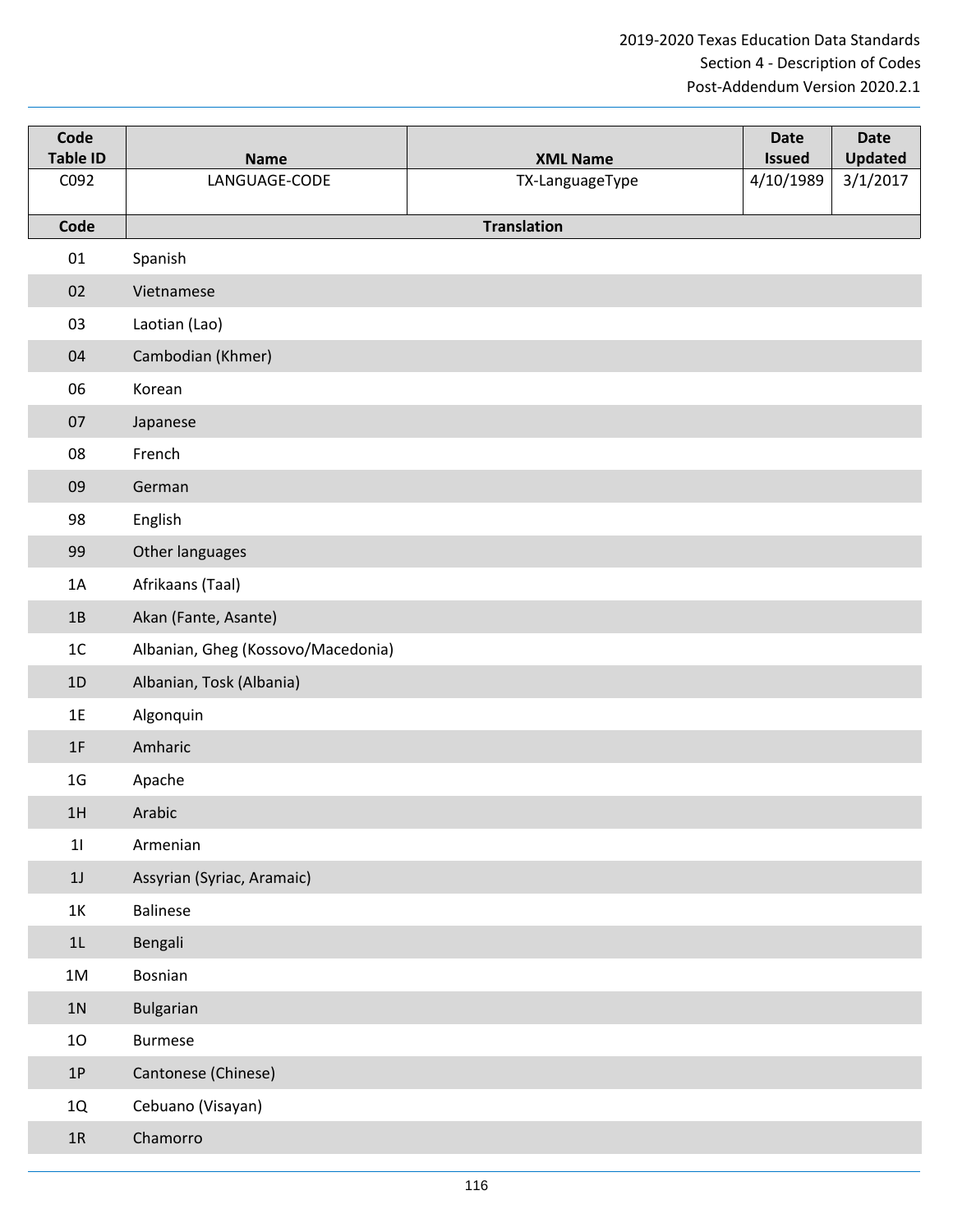| Code<br><b>Table ID</b> | <b>Name</b>                        | <b>XML Name</b>    | <b>Date</b><br><b>Issued</b> | <b>Date</b><br>Updated |
|-------------------------|------------------------------------|--------------------|------------------------------|------------------------|
| C092                    | LANGUAGE-CODE                      | TX-LanguageType    | 4/10/1989                    | 3/1/2017               |
| Code                    |                                    | <b>Translation</b> |                              |                        |
| 01                      | Spanish                            |                    |                              |                        |
| 02                      | Vietnamese                         |                    |                              |                        |
| 03                      | Laotian (Lao)                      |                    |                              |                        |
| 04                      | Cambodian (Khmer)                  |                    |                              |                        |
| 06                      | Korean                             |                    |                              |                        |
| 07                      | Japanese                           |                    |                              |                        |
| 08                      | French                             |                    |                              |                        |
| 09                      | German                             |                    |                              |                        |
| 98                      | English                            |                    |                              |                        |
| 99                      | Other languages                    |                    |                              |                        |
| 1A                      | Afrikaans (Taal)                   |                    |                              |                        |
| 1B                      | Akan (Fante, Asante)               |                    |                              |                        |
| 1 <sup>C</sup>          | Albanian, Gheg (Kossovo/Macedonia) |                    |                              |                        |
| 1D                      | Albanian, Tosk (Albania)           |                    |                              |                        |
| 1E                      | Algonquin                          |                    |                              |                        |
| 1F                      | Amharic                            |                    |                              |                        |
| 1 <sub>G</sub>          | Apache                             |                    |                              |                        |
| 1H                      | Arabic                             |                    |                              |                        |
| 11                      | Armenian                           |                    |                              |                        |
| $1J$                    | Assyrian (Syriac, Aramaic)         |                    |                              |                        |
| 1K                      | <b>Balinese</b>                    |                    |                              |                        |
| 1L                      | Bengali                            |                    |                              |                        |
| 1M                      | Bosnian                            |                    |                              |                        |
| $1N$                    | Bulgarian                          |                    |                              |                        |
| 10                      | <b>Burmese</b>                     |                    |                              |                        |
| $1{\sf P}$              | Cantonese (Chinese)                |                    |                              |                        |
| 1Q                      | Cebuano (Visayan)                  |                    |                              |                        |
| $1R$                    | Chamorro                           |                    |                              |                        |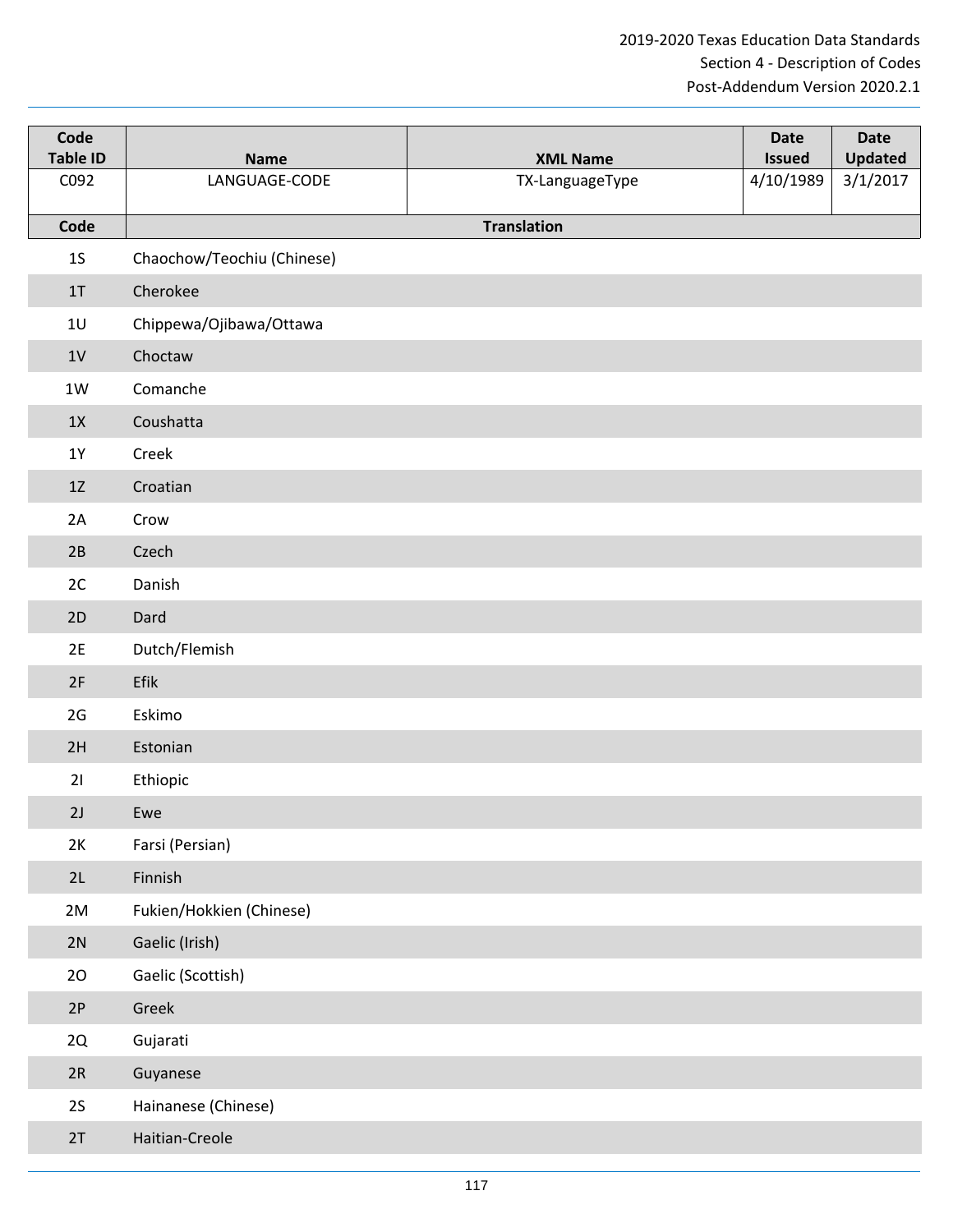| Code<br><b>Table ID</b> | <b>Name</b>                | <b>XML Name</b>    | <b>Date</b><br><b>Issued</b> | <b>Date</b><br><b>Updated</b> |
|-------------------------|----------------------------|--------------------|------------------------------|-------------------------------|
| C092                    | LANGUAGE-CODE              | TX-LanguageType    | 4/10/1989                    | 3/1/2017                      |
| Code                    |                            | <b>Translation</b> |                              |                               |
| $1S$                    | Chaochow/Teochiu (Chinese) |                    |                              |                               |
| 1T                      | Cherokee                   |                    |                              |                               |
| 1U                      | Chippewa/Ojibawa/Ottawa    |                    |                              |                               |
| 1 <sub>V</sub>          | Choctaw                    |                    |                              |                               |
|                         |                            |                    |                              |                               |
| $1W$                    | Comanche                   |                    |                              |                               |
| 1X                      | Coushatta                  |                    |                              |                               |
| $1Y$                    | Creek                      |                    |                              |                               |
| 1Z                      | Croatian                   |                    |                              |                               |
| 2A                      | Crow                       |                    |                              |                               |
| 2B                      | Czech                      |                    |                              |                               |
| 2C                      | Danish                     |                    |                              |                               |
| 2D                      | Dard                       |                    |                              |                               |
| 2E                      | Dutch/Flemish              |                    |                              |                               |
| 2F                      | Efik                       |                    |                              |                               |
| 2G                      | Eskimo                     |                    |                              |                               |
| 2H                      | Estonian                   |                    |                              |                               |
| 21                      | Ethiopic                   |                    |                              |                               |
| 2J                      | Ewe                        |                    |                              |                               |
| 2K                      | Farsi (Persian)            |                    |                              |                               |
| 2L                      | Finnish                    |                    |                              |                               |
| 2M                      | Fukien/Hokkien (Chinese)   |                    |                              |                               |
| 2N                      | Gaelic (Irish)             |                    |                              |                               |
| 20                      | Gaelic (Scottish)          |                    |                              |                               |
| 2P                      | Greek                      |                    |                              |                               |
| 2Q                      | Gujarati                   |                    |                              |                               |
| 2R                      | Guyanese                   |                    |                              |                               |
| 2S                      | Hainanese (Chinese)        |                    |                              |                               |
| 2T                      | Haitian-Creole             |                    |                              |                               |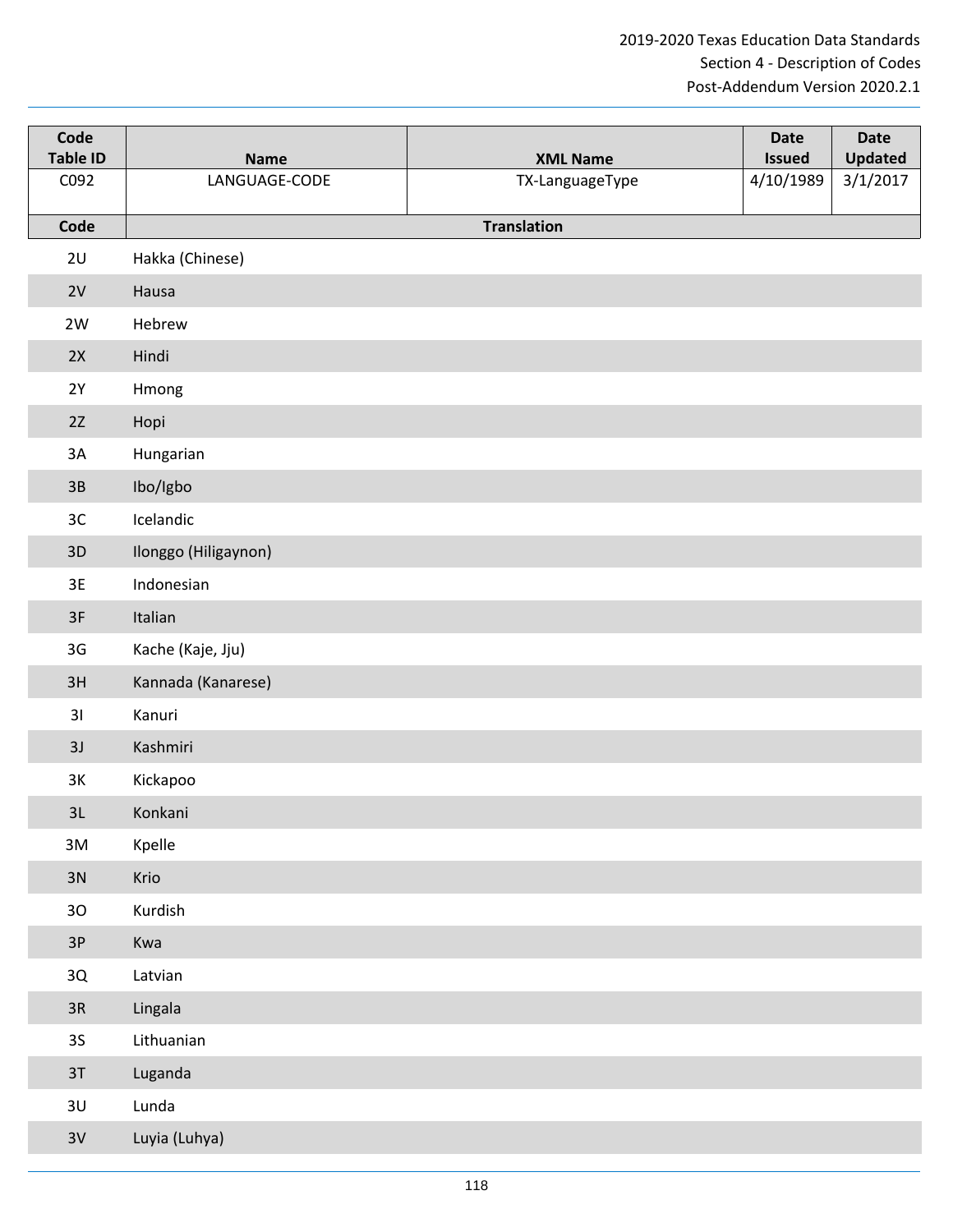| Code<br><b>Table ID</b> | <b>Name</b>          | <b>XML Name</b>    | <b>Date</b><br><b>Issued</b> | <b>Date</b><br><b>Updated</b> |
|-------------------------|----------------------|--------------------|------------------------------|-------------------------------|
| C092                    | LANGUAGE-CODE        | TX-LanguageType    | 4/10/1989                    | 3/1/2017                      |
| Code                    |                      | <b>Translation</b> |                              |                               |
| 2U                      | Hakka (Chinese)      |                    |                              |                               |
| 2V                      | Hausa                |                    |                              |                               |
| 2W                      | Hebrew               |                    |                              |                               |
| 2X                      | Hindi                |                    |                              |                               |
| 2Y                      | Hmong                |                    |                              |                               |
| 2Z                      | Hopi                 |                    |                              |                               |
| 3A                      | Hungarian            |                    |                              |                               |
| 3B                      | Ibo/Igbo             |                    |                              |                               |
| 3C                      | Icelandic            |                    |                              |                               |
| 3D                      | Ilonggo (Hiligaynon) |                    |                              |                               |
| 3E                      | Indonesian           |                    |                              |                               |
| 3F                      | Italian              |                    |                              |                               |
| 3G                      | Kache (Kaje, Jju)    |                    |                              |                               |
| 3H                      | Kannada (Kanarese)   |                    |                              |                               |
| 31                      | Kanuri               |                    |                              |                               |
| 3J                      | Kashmiri             |                    |                              |                               |
| 3K                      | Kickapoo             |                    |                              |                               |
| 3L                      | Konkani              |                    |                              |                               |
| 3M                      | Kpelle               |                    |                              |                               |
| 3N                      | Krio                 |                    |                              |                               |
| $30$                    | Kurdish              |                    |                              |                               |
| 3P                      | Kwa                  |                    |                              |                               |
| 3Q                      | Latvian              |                    |                              |                               |
| $3R$                    | Lingala              |                    |                              |                               |
| 35 <sub>o</sub>         | Lithuanian           |                    |                              |                               |
| 3T                      | Luganda              |                    |                              |                               |
| 3U                      | Lunda                |                    |                              |                               |
| 3V                      | Luyia (Luhya)        |                    |                              |                               |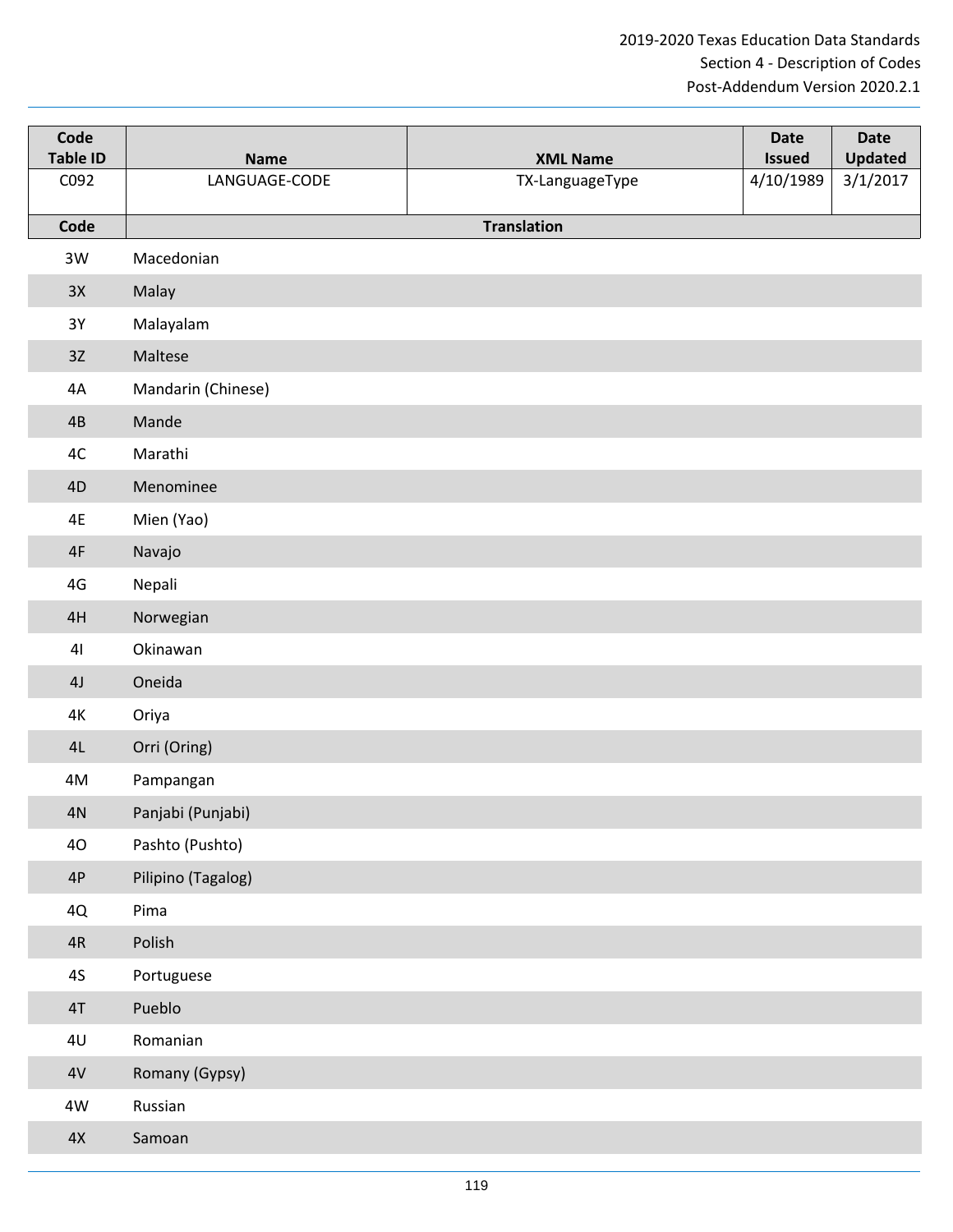| Code<br><b>Table ID</b> | <b>Name</b>        | <b>XML Name</b>    | <b>Date</b><br><b>Issued</b> | <b>Date</b><br><b>Updated</b> |
|-------------------------|--------------------|--------------------|------------------------------|-------------------------------|
| C092                    | LANGUAGE-CODE      | TX-LanguageType    | 4/10/1989                    | 3/1/2017                      |
| Code                    |                    | <b>Translation</b> |                              |                               |
| 3W                      | Macedonian         |                    |                              |                               |
| 3X                      | Malay              |                    |                              |                               |
| $3Y$                    | Malayalam          |                    |                              |                               |
| 3Z                      | Maltese            |                    |                              |                               |
| 4A                      | Mandarin (Chinese) |                    |                              |                               |
| 4B                      | Mande              |                    |                              |                               |
| 4C                      | Marathi            |                    |                              |                               |
| 4D                      | Menominee          |                    |                              |                               |
| 4E                      | Mien (Yao)         |                    |                              |                               |
| 4F                      | Navajo             |                    |                              |                               |
| 4G                      | Nepali             |                    |                              |                               |
| 4H                      | Norwegian          |                    |                              |                               |
| 4 <sub>l</sub>          | Okinawan           |                    |                              |                               |
| 4J                      | Oneida             |                    |                              |                               |
| $4\mathrm{K}$           | Oriya              |                    |                              |                               |
| 4L                      | Orri (Oring)       |                    |                              |                               |
| 4M                      | Pampangan          |                    |                              |                               |
| 4N                      | Panjabi (Punjabi)  |                    |                              |                               |
| 40                      | Pashto (Pushto)    |                    |                              |                               |
| $4P$                    | Pilipino (Tagalog) |                    |                              |                               |
| 4Q                      | Pima               |                    |                              |                               |
| $4R$                    | Polish             |                    |                              |                               |
| $4S$                    | Portuguese         |                    |                              |                               |
| $4\mathsf{T}$           | Pueblo             |                    |                              |                               |
| 4 <sub>U</sub>          | Romanian           |                    |                              |                               |
| $4\mathrm{V}$           | Romany (Gypsy)     |                    |                              |                               |
| 4W                      | Russian            |                    |                              |                               |
| $4\mathrm{\mathsf{X}}$  | Samoan             |                    |                              |                               |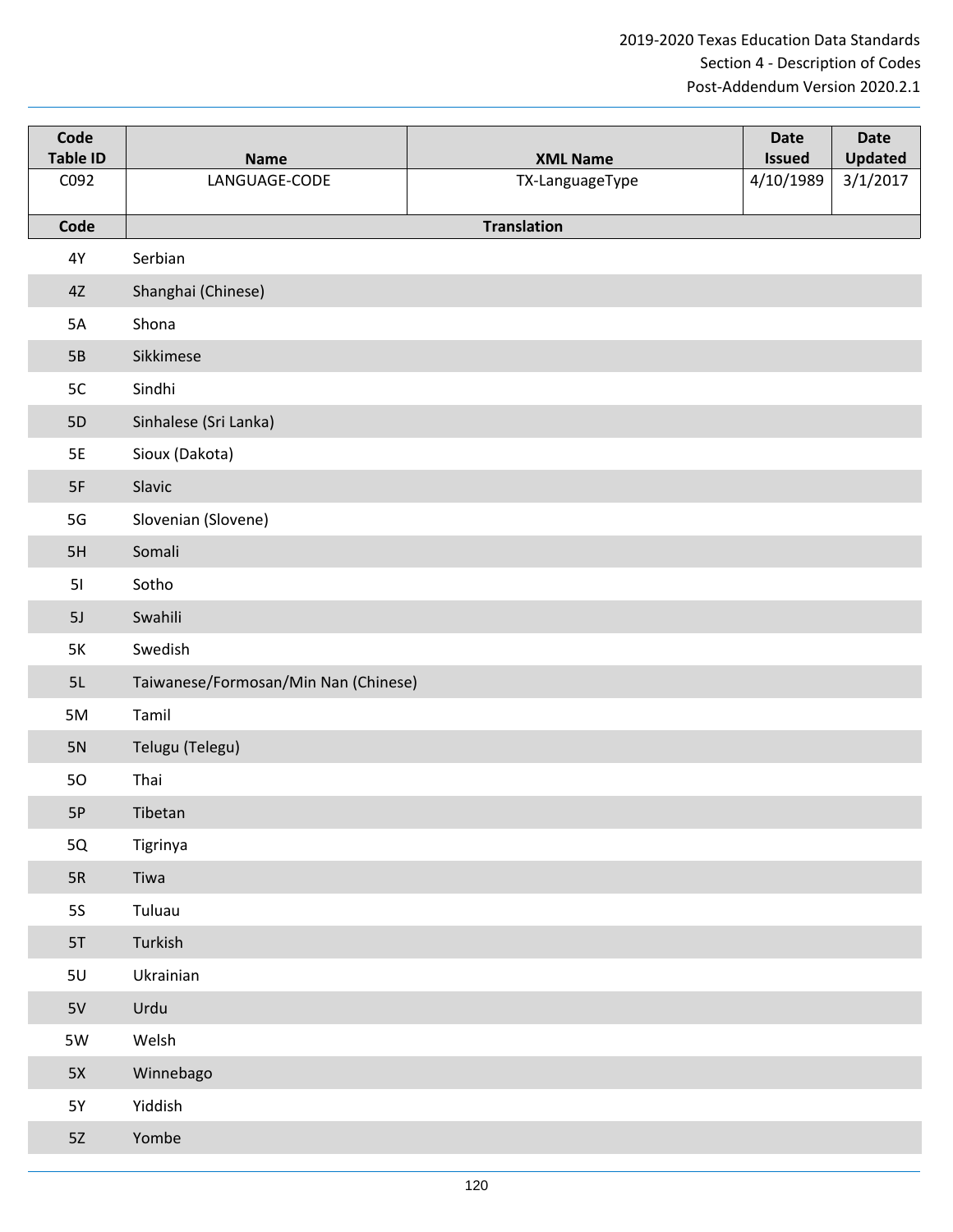| Code<br><b>Table ID</b> | <b>Name</b>                          | <b>XML Name</b>    | <b>Date</b><br><b>Issued</b> | <b>Date</b><br><b>Updated</b> |
|-------------------------|--------------------------------------|--------------------|------------------------------|-------------------------------|
| C092                    | LANGUAGE-CODE                        | TX-LanguageType    | 4/10/1989                    | 3/1/2017                      |
| Code                    |                                      | <b>Translation</b> |                              |                               |
| 4Y                      | Serbian                              |                    |                              |                               |
| 4Z                      | Shanghai (Chinese)                   |                    |                              |                               |
| 5A                      | Shona                                |                    |                              |                               |
| 5B                      | Sikkimese                            |                    |                              |                               |
| 5C                      | Sindhi                               |                    |                              |                               |
| <b>5D</b>               | Sinhalese (Sri Lanka)                |                    |                              |                               |
| <b>5E</b>               | Sioux (Dakota)                       |                    |                              |                               |
| 5F                      | Slavic                               |                    |                              |                               |
| $5G$                    | Slovenian (Slovene)                  |                    |                              |                               |
| 5H                      | Somali                               |                    |                              |                               |
| 51                      | Sotho                                |                    |                              |                               |
| 5J                      | Swahili                              |                    |                              |                               |
| 5K                      | Swedish                              |                    |                              |                               |
| 5L                      | Taiwanese/Formosan/Min Nan (Chinese) |                    |                              |                               |
| 5M                      | Tamil                                |                    |                              |                               |
| 5N                      | Telugu (Telegu)                      |                    |                              |                               |
| 50                      | Thai                                 |                    |                              |                               |
| 5P                      | Tibetan                              |                    |                              |                               |
| 5Q                      | Tigrinya                             |                    |                              |                               |
| $5R$                    | Tiwa                                 |                    |                              |                               |
| <b>5S</b>               | Tuluau                               |                    |                              |                               |
| 5T                      | Turkish                              |                    |                              |                               |
| 5U                      | Ukrainian                            |                    |                              |                               |
| 5V                      | Urdu                                 |                    |                              |                               |
| 5W                      | Welsh                                |                    |                              |                               |
| 5X                      | Winnebago                            |                    |                              |                               |
| <b>5Y</b>               | Yiddish                              |                    |                              |                               |
| 5Z                      | Yombe                                |                    |                              |                               |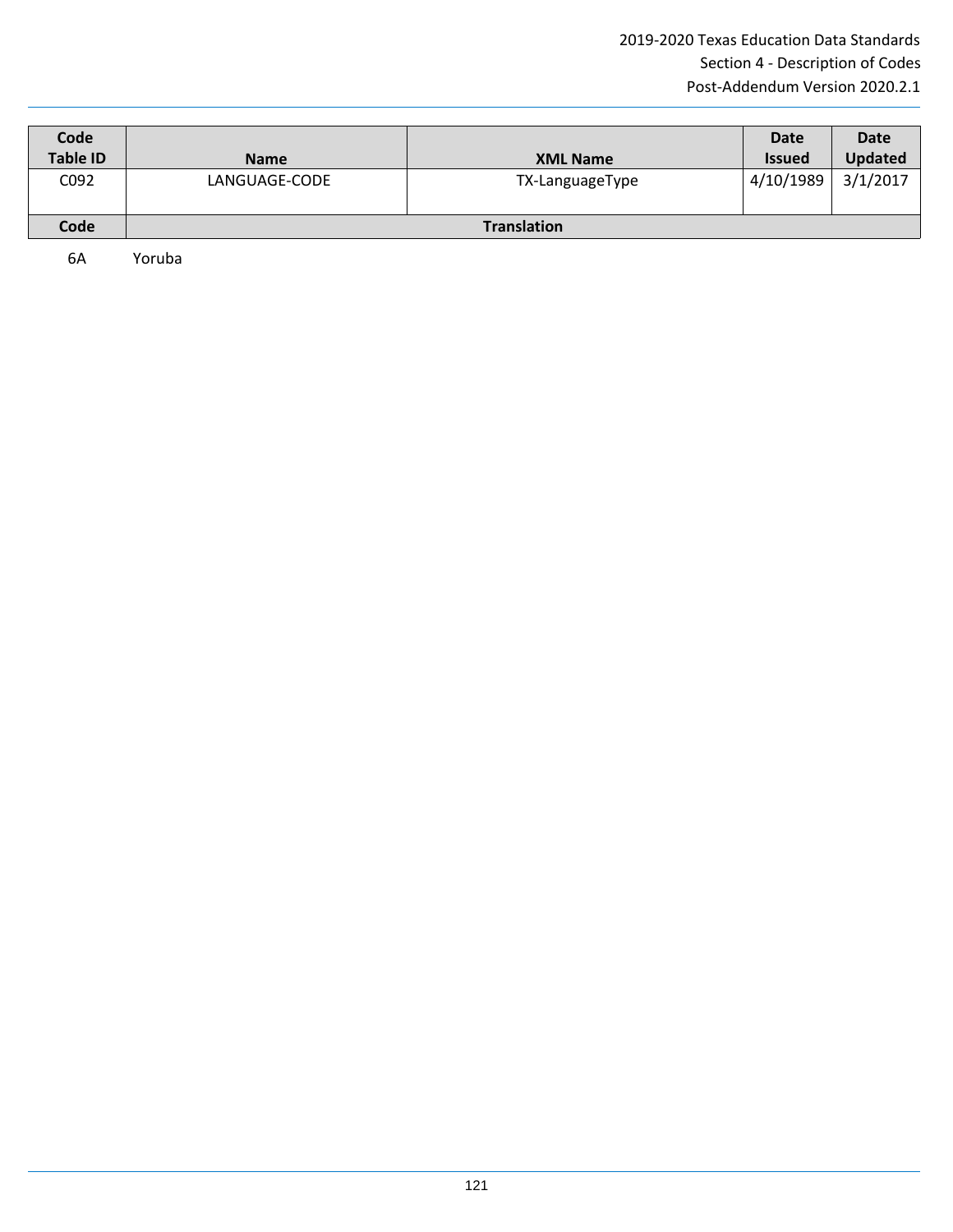| Code<br><b>Table ID</b> | <b>Name</b>   | <b>XML Name</b>    | <b>Date</b><br><b>Issued</b> | Date<br><b>Updated</b> |
|-------------------------|---------------|--------------------|------------------------------|------------------------|
| C092                    | LANGUAGE-CODE | TX-LanguageType    | 4/10/1989                    | 3/1/2017               |
| Code                    |               | <b>Translation</b> |                              |                        |

6A Yoruba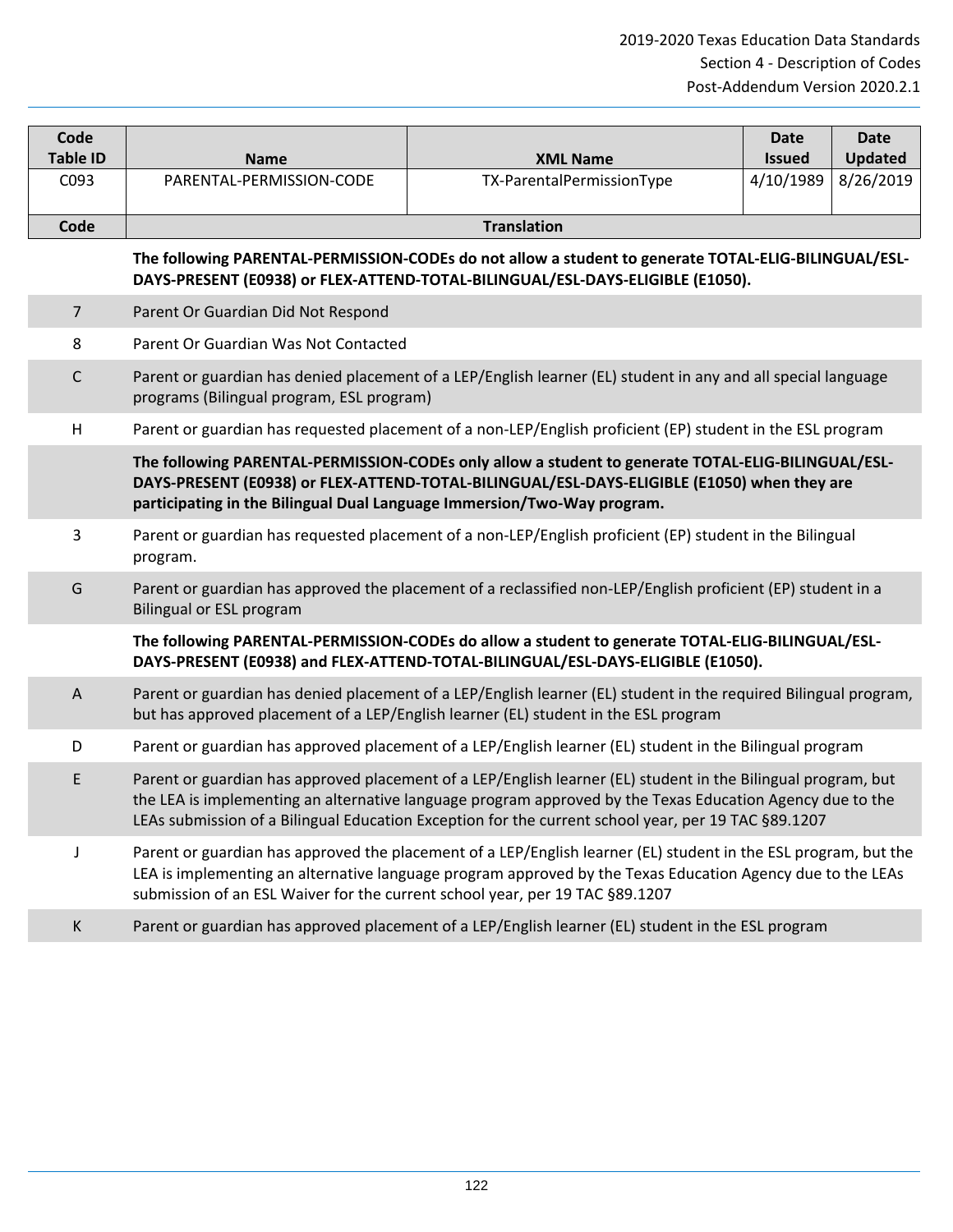| Code            |                          |                           | Date          | Date           |
|-----------------|--------------------------|---------------------------|---------------|----------------|
| <b>Table ID</b> | <b>Name</b>              | <b>XML Name</b>           | <b>Issued</b> | <b>Updated</b> |
| C093            | PARENTAL-PERMISSION-CODE | TX-ParentalPermissionType | 4/10/1989     | 8/26/2019      |
| Code            |                          | <b>Translation</b>        |               |                |

## **The following PARENTAL-PERMISSION-CODEs do not allow a student to generate TOTAL-ELIG-BILINGUAL/ESL-DAYS-PRESENT (E0938) or FLEX-ATTEND-TOTAL-BILINGUAL/ESL-DAYS-ELIGIBLE (E1050).**

#### 7 Parent Or Guardian Did Not Respond

8 Parent Or Guardian Was Not Contacted

- C Parent or guardian has denied placement of a LEP/English learner (EL) student in any and all special language programs (Bilingual program, ESL program)
- H Parent or guardian has requested placement of a non-LEP/English proficient (EP) student in the ESL program

**The following PARENTAL-PERMISSION-CODEs only allow a student to generate TOTAL-ELIG-BILINGUAL/ESL-DAYS-PRESENT (E0938) or FLEX-ATTEND-TOTAL-BILINGUAL/ESL-DAYS-ELIGIBLE (E1050) when they are participating in the Bilingual Dual Language Immersion/Two-Way program.**

- 3 Parent or guardian has requested placement of a non-LEP/English proficient (EP) student in the Bilingual program.
- G Parent or guardian has approved the placement of a reclassified non-LEP/English proficient (EP) student in a Bilingual or ESL program

**The following PARENTAL-PERMISSION-CODEs do allow a student to generate TOTAL-ELIG-BILINGUAL/ESL-DAYS-PRESENT (E0938) and FLEX-ATTEND-TOTAL-BILINGUAL/ESL-DAYS-ELIGIBLE (E1050).**

- A Parent or guardian has denied placement of a LEP/English learner (EL) student in the required Bilingual program, but has approved placement of a LEP/English learner (EL) student in the ESL program
- D Parent or guardian has approved placement of a LEP/English learner (EL) student in the Bilingual program
- E Parent or guardian has approved placement of a LEP/English learner (EL) student in the Bilingual program, but the LEA is implementing an alternative language program approved by the Texas Education Agency due to the LEAs submission of a Bilingual Education Exception for the current school year, per 19 TAC §89.1207
	- J Parent or guardian has approved the placement of a LEP/English learner (EL) student in the ESL program, but the LEA is implementing an alternative language program approved by the Texas Education Agency due to the LEAs submission of an ESL Waiver for the current school year, per 19 TAC §89.1207
	- K Parent or guardian has approved placement of a LEP/English learner (EL) student in the ESL program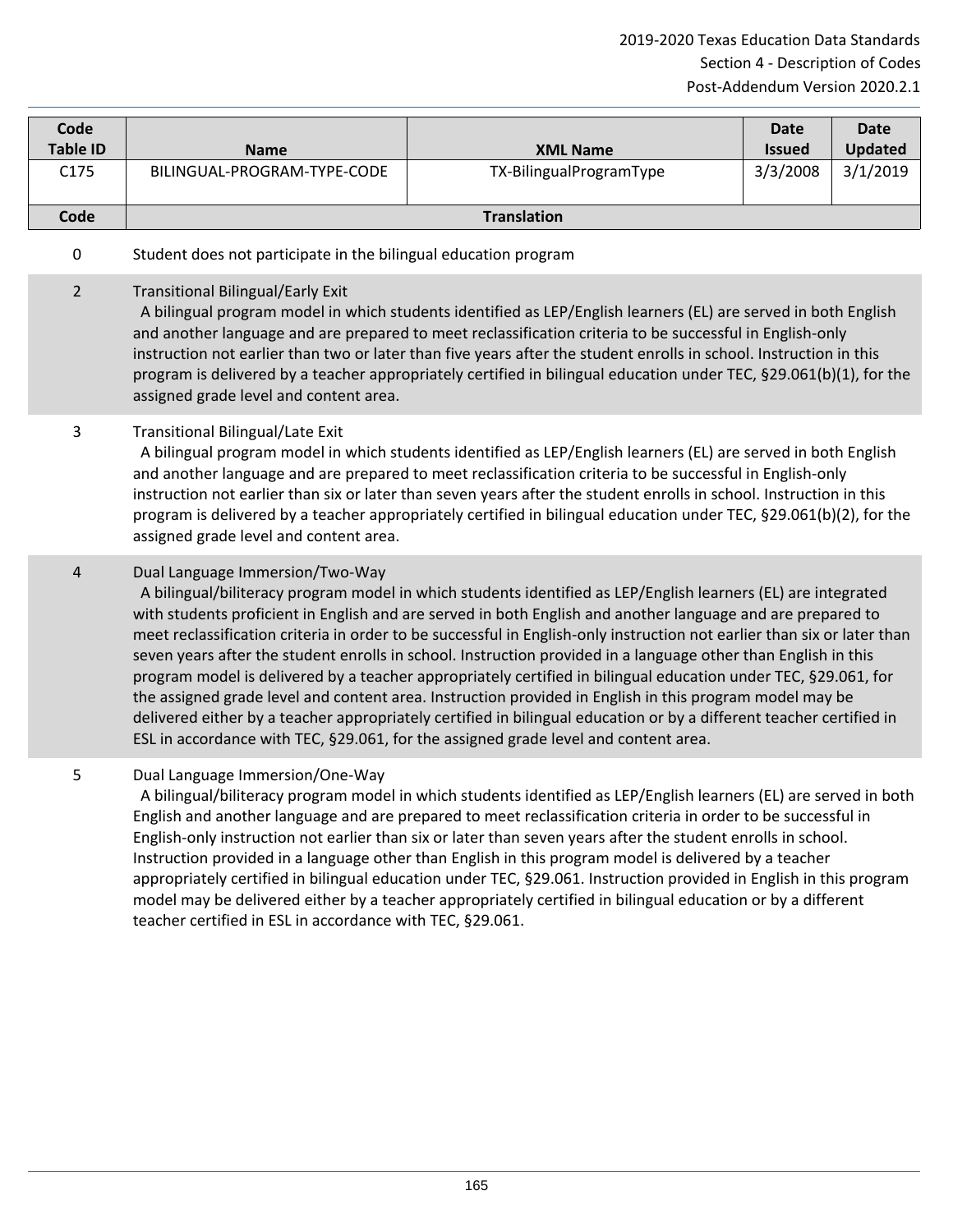| Code<br><b>Table ID</b> | <b>Name</b>                 | <b>XML Name</b>         | Date<br><b>Issued</b> | Date<br><b>Updated</b> |
|-------------------------|-----------------------------|-------------------------|-----------------------|------------------------|
| C175                    | BILINGUAL-PROGRAM-TYPE-CODE | TX-BilingualProgramType | 3/3/2008              | 3/1/2019               |
| Code                    |                             | <b>Translation</b>      |                       |                        |

## 0 Student does not participate in the bilingual education program

#### 2 Transitional Bilingual/Early Exit

 A bilingual program model in which students identified as LEP/English learners (EL) are served in both English and another language and are prepared to meet reclassification criteria to be successful in English-only instruction not earlier than two or later than five years after the student enrolls in school. Instruction in this program is delivered by a teacher appropriately certified in bilingual education under TEC, §29.061(b)(1), for the assigned grade level and content area.

#### 3 Transitional Bilingual/Late Exit

 A bilingual program model in which students identified as LEP/English learners (EL) are served in both English and another language and are prepared to meet reclassification criteria to be successful in English-only instruction not earlier than six or later than seven years after the student enrolls in school. Instruction in this program is delivered by a teacher appropriately certified in bilingual education under TEC, §29.061(b)(2), for the assigned grade level and content area.

#### 4 Dual Language Immersion/Two-Way

 A bilingual/biliteracy program model in which students identified as LEP/English learners (EL) are integrated with students proficient in English and are served in both English and another language and are prepared to meet reclassification criteria in order to be successful in English-only instruction not earlier than six or later than seven years after the student enrolls in school. Instruction provided in a language other than English in this program model is delivered by a teacher appropriately certified in bilingual education under TEC, §29.061, for the assigned grade level and content area. Instruction provided in English in this program model may be delivered either by a teacher appropriately certified in bilingual education or by a different teacher certified in ESL in accordance with TEC, §29.061, for the assigned grade level and content area.

# 5 Dual Language Immersion/One-Way

 A bilingual/biliteracy program model in which students identified as LEP/English learners (EL) are served in both English and another language and are prepared to meet reclassification criteria in order to be successful in English-only instruction not earlier than six or later than seven years after the student enrolls in school. Instruction provided in a language other than English in this program model is delivered by a teacher appropriately certified in bilingual education under TEC, §29.061. Instruction provided in English in this program model may be delivered either by a teacher appropriately certified in bilingual education or by a different teacher certified in ESL in accordance with TEC, §29.061.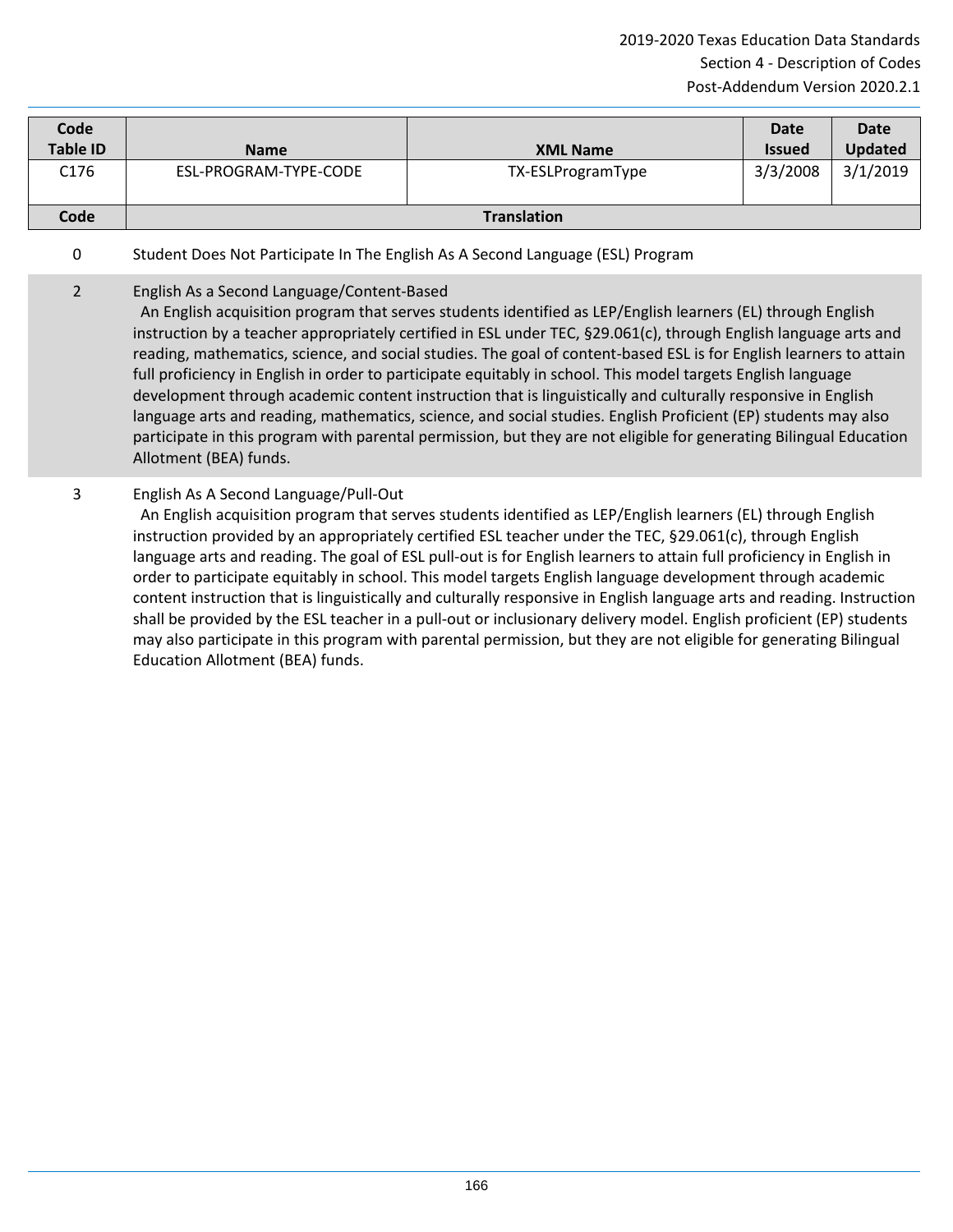| Code<br><b>Table ID</b> | <b>Name</b>           | <b>XML Name</b>    | <b>Date</b><br><b>Issued</b> | <b>Date</b><br><b>Updated</b> |
|-------------------------|-----------------------|--------------------|------------------------------|-------------------------------|
| C176                    | ESL-PROGRAM-TYPE-CODE | TX-ESLProgramType  | 3/3/2008                     | 3/1/2019                      |
| Code                    |                       | <b>Translation</b> |                              |                               |

# 0 Student Does Not Participate In The English As A Second Language (ESL) Program

# 2 English As a Second Language/Content-Based

 An English acquisition program that serves students identified as LEP/English learners (EL) through English instruction by a teacher appropriately certified in ESL under TEC, §29.061(c), through English language arts and reading, mathematics, science, and social studies. The goal of content-based ESL is for English learners to attain full proficiency in English in order to participate equitably in school. This model targets English language development through academic content instruction that is linguistically and culturally responsive in English language arts and reading, mathematics, science, and social studies. English Proficient (EP) students may also participate in this program with parental permission, but they are not eligible for generating Bilingual Education Allotment (BEA) funds.

3 English As A Second Language/Pull-Out

 An English acquisition program that serves students identified as LEP/English learners (EL) through English instruction provided by an appropriately certified ESL teacher under the TEC, §29.061(c), through English language arts and reading. The goal of ESL pull-out is for English learners to attain full proficiency in English in order to participate equitably in school. This model targets English language development through academic content instruction that is linguistically and culturally responsive in English language arts and reading. Instruction shall be provided by the ESL teacher in a pull-out or inclusionary delivery model. English proficient (EP) students may also participate in this program with parental permission, but they are not eligible for generating Bilingual Education Allotment (BEA) funds.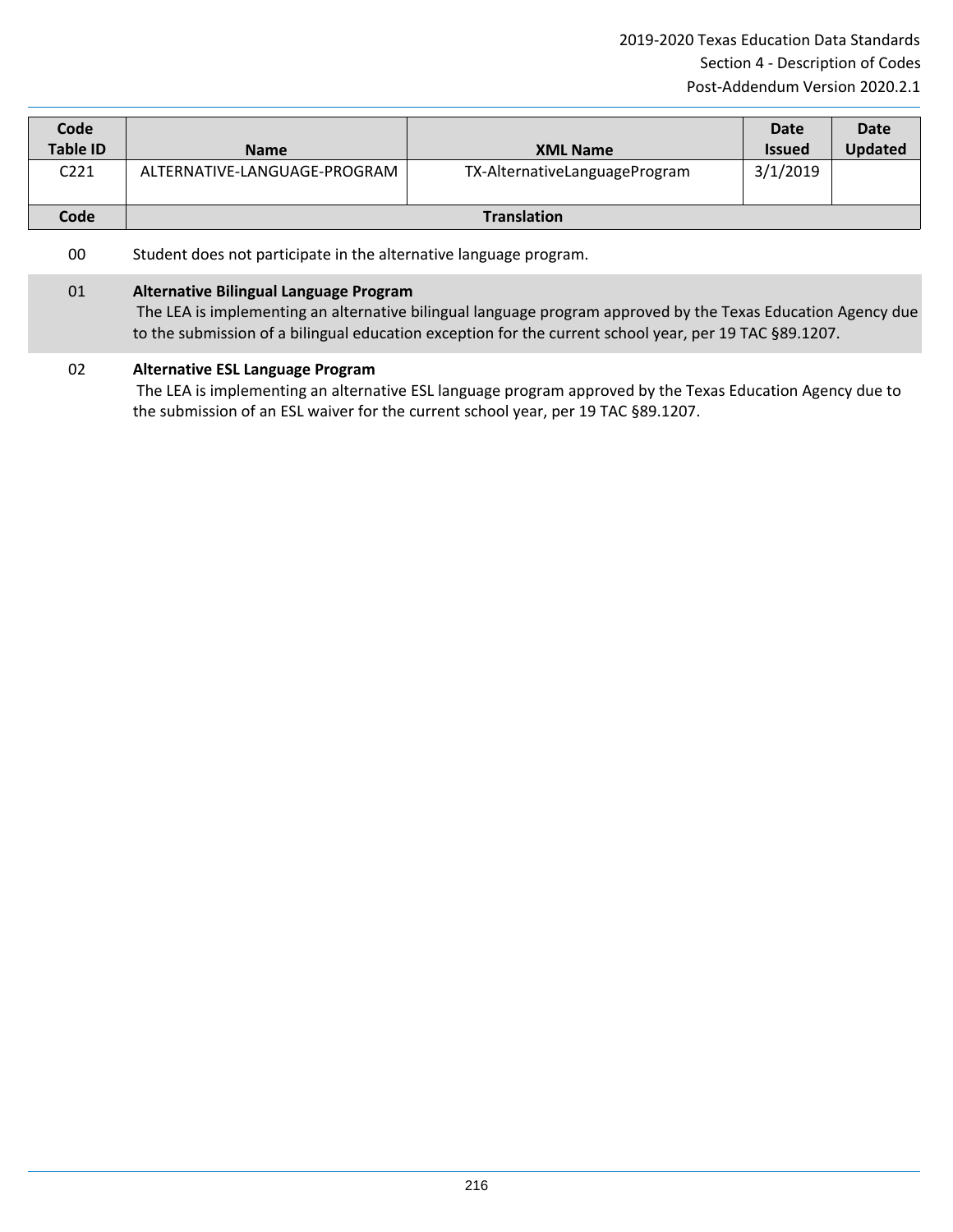| Code<br><b>Table ID</b> | <b>Name</b>                  | <b>XML Name</b>               | Date<br><b>Issued</b> | Date<br><b>Updated</b> |
|-------------------------|------------------------------|-------------------------------|-----------------------|------------------------|
| C221                    | ALTERNATIVE-LANGUAGE-PROGRAM | TX-AlternativeLanguageProgram | 3/1/2019              |                        |
| Code                    |                              | <b>Translation</b>            |                       |                        |

#### 00 Student does not participate in the alternative language program.

#### 01 **Alternative Bilingual Language Program**

The LEA is implementing an alternative bilingual language program approved by the Texas Education Agency due to the submission of a bilingual education exception for the current school year, per 19 TAC §89.1207.

#### 02 **Alternative ESL Language Program**

The LEA is implementing an alternative ESL language program approved by the Texas Education Agency due to the submission of an ESL waiver for the current school year, per 19 TAC §89.1207.